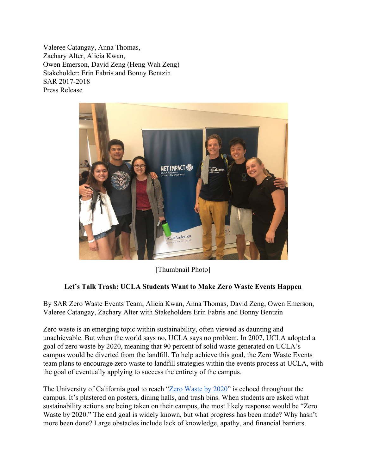Valeree Catangay, Anna Thomas, Zachary Alter, Alicia Kwan, Owen Emerson, David Zeng (Heng Wah Zeng) Stakeholder: Erin Fabris and Bonny Bentzin SAR 2017-2018 Press Release



[Thumbnail Photo]

## **Let's Talk Trash: UCLA Students Want to Make Zero Waste Events Happen**

By SAR Zero Waste Events Team; Alicia Kwan, Anna Thomas, David Zeng, Owen Emerson, Valeree Catangay, Zachary Alter with Stakeholders Erin Fabris and Bonny Bentzin

Zero waste is an emerging topic within sustainability, often viewed as daunting and unachievable. But when the world says no, UCLA says no problem. In 2007, UCLA adopted a goal of zero waste by 2020, meaning that 90 percent of solid waste generated on UCLA's campus would be diverted from the landfill. To help achieve this goal, the Zero Waste Events team plans to encourage zero waste to landfill strategies within the events process at UCLA, with the goal of eventually applying to success the entirety of the campus.

The University of California goal to reach ["Zero Waste by 2020"](https://zerowaste2020.universityofcalifornia.edu/) is echoed throughout the campus. It's plastered on posters, dining halls, and trash bins. When students are asked what sustainability actions are being taken on their campus, the most likely response would be "Zero Waste by 2020." The end goal is widely known, but what progress has been made? Why hasn't more been done? Large obstacles include lack of knowledge, apathy, and financial barriers.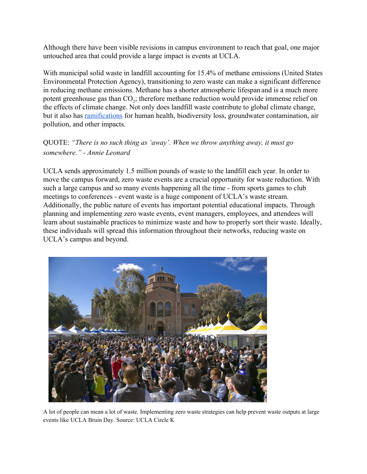Although there have been visible revisions in campus environment to reach that goal, one major untouched area that could provide a large impact is events at UCLA.

With municipal solid waste in landfill accounting for 15.4% of methane emissions (United States Environmental Protection Agency), transitioning to zero waste can make a significant difference in reducing methane emissions. Methane has a shorter atmospheric lifespan and is a much more potent greenhouse gas than  $CO_2$ ; therefore methane reduction would provide immense relief on the effects of climate change. Not only does landfill waste contribute to global climate change, but it also has [ramifications](https://sciencing.com/effects-landfills-environment-8662463.html) for human health, biodiversity loss, groundwater contamination, air pollution, and other impacts.

QUOTE: *"There is no such thing as 'away'. When we throw anything away, it must go somewhere." - Annie Leonard*

UCLA sends approximately 1.5 million pounds of waste to the landfill each year. In order to move the campus forward, zero waste events are a crucial opportunity for waste reduction. With such a large campus and so many events happening all the time - from sports games to club meetings to conferences - event waste is a huge component of UCLA's waste stream. Additionally, the public nature of events has important potential educational impacts. Through planning and implementing zero waste events, event managers, employees, and attendees will learn about sustainable practices to minimize waste and how to properly sort their waste. Ideally, these individuals will spread this information throughout their networks, reducing waste on UCLA's campus and beyond.



A lot of people can mean a lot of waste. Implementing zero waste strategies can help prevent waste outputs at large events like UCLA Bruin Day. Source: UCLA Circle K